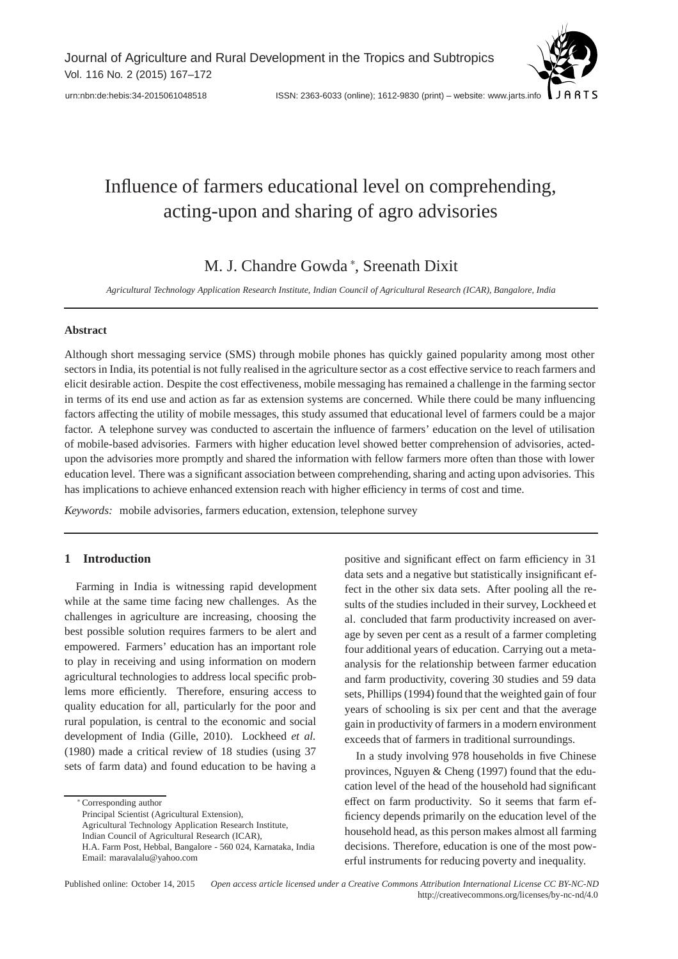$10075$ [urn:nbn:de:hebis:34-2015061048518](http://nbn-resolving.de/urn:nbn:de:hebis:34-2015061048518) ISSN: 2363-6033 (online); 1612-9830 (print) – website: www.jarts.info

# Influence of farmers educational level on comprehending, acting-upon and sharing of agro advisories

M. J. Chandre Gowda <sup>∗</sup> , Sreenath Dixit

*Agricultural Technology Application Research Institute, Indian Council of Agricultural Research (ICAR), Bangalore, India*

# **Abstract**

Although short messaging service (SMS) through mobile phones has quickly gained popularity among most other sectors in India, its potential is not fully realised in the agriculture sector as a cost effective service to reach farmers and elicit desirable action. Despite the cost effectiveness, mobile messaging has remained a challenge in the farming sector in terms of its end use and action as far as extension systems are concerned. While there could be many influencing factors affecting the utility of mobile messages, this study assumed that educational level of farmers could be a major factor. A telephone survey was conducted to ascertain the influence of farmers' education on the level of utilisation of mobile-based advisories. Farmers with higher education level showed better comprehension of advisories, actedupon the advisories more promptly and shared the information with fellow farmers more often than those with lower education level. There was a significant association between comprehending, sharing and acting upon advisories. This has implications to achieve enhanced extension reach with higher efficiency in terms of cost and time.

*Keywords:* mobile advisories, farmers education, extension, telephone survey

# **1 Introduction**

Farming in India is witnessing rapid development while at the same time facing new challenges. As the challenges in agriculture are increasing, choosing the best possible solution requires farmers to be alert and empowered. Farmers' education has an important role to play in receiving and using information on modern agricultural technologies to address local specific problems more efficiently. Therefore, ensuring access to quality education for all, particularly for the poor and rural population, is central to the economic and social development of India (Gille, 2010). Lockheed *et al.* (1980) made a critical review of 18 studies (using 37 sets of farm data) and found education to be having a

∗ Corresponding author

Principal Scientist (Agricultural Extension),

Agricultural Technology Application Research Institute,

Indian Council of Agricultural Research (ICAR),

positive and significant effect on farm efficiency in 31 data sets and a negative but statistically insignificant effect in the other six data sets. After pooling all the results of the studies included in their survey, Lockheed et al. concluded that farm productivity increased on average by seven per cent as a result of a farmer completing four additional years of education. Carrying out a metaanalysis for the relationship between farmer education and farm productivity, covering 30 studies and 59 data sets, Phillips (1994) found that the weighted gain of four years of schooling is six per cent and that the average gain in productivity of farmers in a modern environment exceeds that of farmers in traditional surroundings.

In a study involving 978 households in five Chinese provinces, Nguyen & Cheng (1997) found that the education level of the head of the household had significant effect on farm productivity. So it seems that farm efficiency depends primarily on the education level of the household head, as this person makes almost all farming decisions. Therefore, education is one of the most powerful instruments for reducing poverty and inequality.

Published online: October 14, 2015 *Open access article licensed under a Creative Commons Attribution International License CC BY-NC-ND* http://creativecommons.org/licenses/by-nc-nd/4.0

H.A. Farm Post, Hebbal, Bangalore - 560 024, Karnataka, India Email: maravalalu@yahoo.com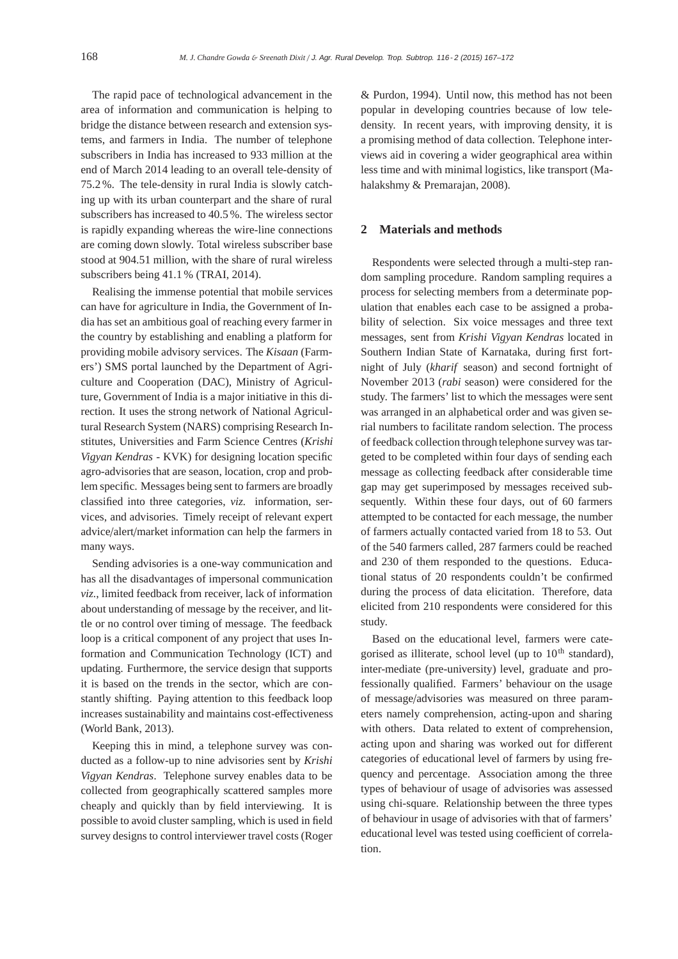The rapid pace of technological advancement in the area of information and communication is helping to bridge the distance between research and extension systems, and farmers in India. The number of telephone subscribers in India has increased to 933 million at the end of March 2014 leading to an overall tele-density of 75.2 %. The tele-density in rural India is slowly catching up with its urban counterpart and the share of rural subscribers has increased to 40.5 %. The wireless sector is rapidly expanding whereas the wire-line connections are coming down slowly. Total wireless subscriber base stood at 904.51 million, with the share of rural wireless subscribers being 41.1 % (TRAI, 2014).

Realising the immense potential that mobile services can have for agriculture in India, the Government of India has set an ambitious goal of reaching every farmer in the country by establishing and enabling a platform for providing mobile advisory services. The *Kisaan* (Farmers') SMS portal launched by the Department of Agriculture and Cooperation (DAC), Ministry of Agriculture, Government of India is a major initiative in this direction. It uses the strong network of National Agricultural Research System (NARS) comprising Research Institutes, Universities and Farm Science Centres (*Krishi Vigyan Kendras* - KVK) for designing location specific agro-advisories that are season, location, crop and problem specific. Messages being sent to farmers are broadly classified into three categories, *viz.* information, services, and advisories. Timely receipt of relevant expert advice/alert/market information can help the farmers in many ways.

Sending advisories is a one-way communication and has all the disadvantages of impersonal communication *viz.*, limited feedback from receiver, lack of information about understanding of message by the receiver, and little or no control over timing of message. The feedback loop is a critical component of any project that uses Information and Communication Technology (ICT) and updating. Furthermore, the service design that supports it is based on the trends in the sector, which are constantly shifting. Paying attention to this feedback loop increases sustainability and maintains cost-effectiveness (World Bank, 2013).

Keeping this in mind, a telephone survey was conducted as a follow-up to nine advisories sent by *Krishi Vigyan Kendras*. Telephone survey enables data to be collected from geographically scattered samples more cheaply and quickly than by field interviewing. It is possible to avoid cluster sampling, which is used in field survey designs to control interviewer travel costs (Roger

& Purdon, 1994). Until now, this method has not been popular in developing countries because of low teledensity. In recent years, with improving density, it is a promising method of data collection. Telephone interviews aid in covering a wider geographical area within less time and with minimal logistics, like transport (Mahalakshmy & Premarajan, 2008).

### **2 Materials and methods**

Respondents were selected through a multi-step random sampling procedure. Random sampling requires a process for selecting members from a determinate population that enables each case to be assigned a probability of selection. Six voice messages and three text messages, sent from *Krishi Vigyan Kendras* located in Southern Indian State of Karnataka, during first fortnight of July (*kharif* season) and second fortnight of November 2013 (*rabi* season) were considered for the study. The farmers' list to which the messages were sent was arranged in an alphabetical order and was given serial numbers to facilitate random selection. The process of feedback collection through telephone survey was targeted to be completed within four days of sending each message as collecting feedback after considerable time gap may get superimposed by messages received subsequently. Within these four days, out of 60 farmers attempted to be contacted for each message, the number of farmers actually contacted varied from 18 to 53. Out of the 540 farmers called, 287 farmers could be reached and 230 of them responded to the questions. Educational status of 20 respondents couldn't be confirmed during the process of data elicitation. Therefore, data elicited from 210 respondents were considered for this study.

Based on the educational level, farmers were categorised as illiterate, school level (up to  $10<sup>th</sup>$  standard), inter-mediate (pre-university) level, graduate and professionally qualified. Farmers' behaviour on the usage of message/advisories was measured on three parameters namely comprehension, acting-upon and sharing with others. Data related to extent of comprehension, acting upon and sharing was worked out for different categories of educational level of farmers by using frequency and percentage. Association among the three types of behaviour of usage of advisories was assessed using chi-square. Relationship between the three types of behaviour in usage of advisories with that of farmers' educational level was tested using coefficient of correlation.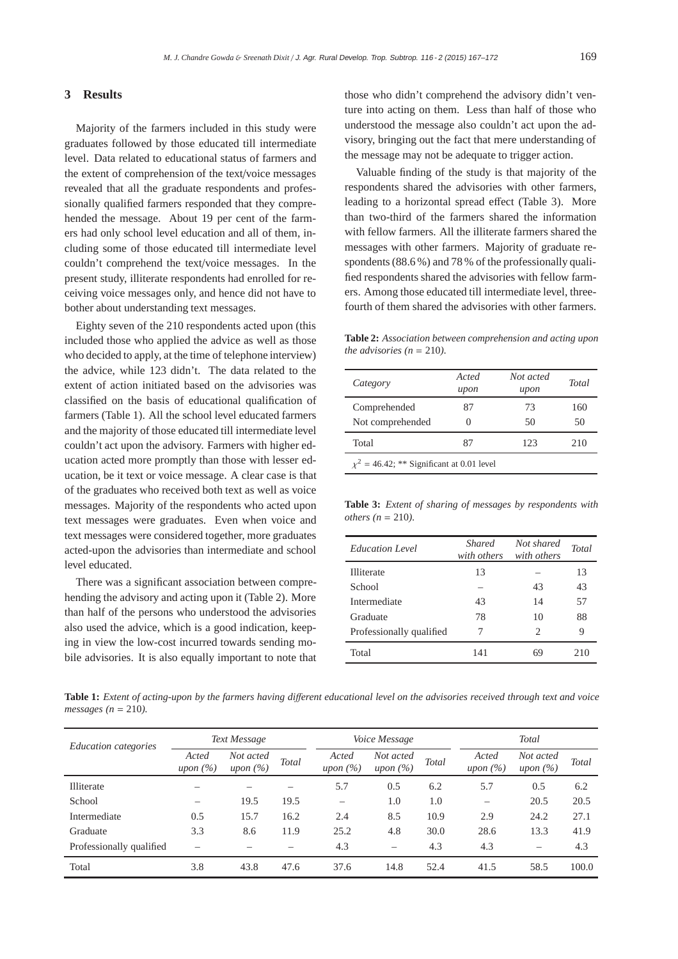# **3 Results**

Majority of the farmers included in this study were graduates followed by those educated till intermediate level. Data related to educational status of farmers and the extent of comprehension of the text/voice messages revealed that all the graduate respondents and professionally qualified farmers responded that they comprehended the message. About 19 per cent of the farmers had only school level education and all of them, including some of those educated till intermediate level couldn't comprehend the text/voice messages. In the present study, illiterate respondents had enrolled for receiving voice messages only, and hence did not have to bother about understanding text messages.

Eighty seven of the 210 respondents acted upon (this included those who applied the advice as well as those who decided to apply, at the time of telephone interview) the advice, while 123 didn't. The data related to the extent of action initiated based on the advisories was classified on the basis of educational qualification of farmers (Table 1). All the school level educated farmers and the majority of those educated till intermediate level couldn't act upon the advisory. Farmers with higher education acted more promptly than those with lesser education, be it text or voice message. A clear case is that of the graduates who received both text as well as voice messages. Majority of the respondents who acted upon text messages were graduates. Even when voice and text messages were considered together, more graduates acted-upon the advisories than intermediate and school level educated.

There was a significant association between comprehending the advisory and acting upon it (Table 2). More than half of the persons who understood the advisories also used the advice, which is a good indication, keeping in view the low-cost incurred towards sending mobile advisories. It is also equally important to note that those who didn't comprehend the advisory didn't venture into acting on them. Less than half of those who understood the message also couldn't act upon the advisory, bringing out the fact that mere understanding of the message may not be adequate to trigger action.

Valuable finding of the study is that majority of the respondents shared the advisories with other farmers, leading to a horizontal spread effect (Table 3). More than two-third of the farmers shared the information with fellow farmers. All the illiterate farmers shared the messages with other farmers. Majority of graduate respondents (88.6 %) and 78 % of the professionally qualified respondents shared the advisories with fellow farmers. Among those educated till intermediate level, threefourth of them shared the advisories with other farmers.

**Table 2:** *Association between comprehension and acting upon the advisories (n = 210).* 

| Category                                       | Acted<br>upon | Not acted<br>upon | <b>Total</b> |
|------------------------------------------------|---------------|-------------------|--------------|
| Comprehended                                   | 87            | 73                | 160<br>50    |
| Not comprehended                               | 0             | 50                |              |
| Total                                          | 87            | 123               | 210          |
| $\chi^2$ = 46.42; ** Significant at 0.01 level |               |                   |              |

**Table 3:** *Extent of sharing of messages by respondents with others (n = 210).* 

| <b>Education Level</b>   | <b>Shared</b><br>with others | Not shared<br>with others   | <b>Total</b> |
|--------------------------|------------------------------|-----------------------------|--------------|
| Illiterate               | 13                           |                             | 13           |
| School                   |                              | 43                          | 43           |
| Intermediate             | 43                           | 14                          | 57           |
| Graduate                 | 78                           | 10                          | 88           |
| Professionally qualified | 7                            | $\mathcal{D}_{\mathcal{A}}$ | 9            |
| Total                    | 141                          |                             | 210          |

**Table 1:** *Extent of acting-upon by the farmers having di*ff*erent educational level on the advisories received through text and voice messages (n* = 210*).*

| <i>Education categories</i> |                          | Text Message              |              |                          | <i>Voice Message</i>      |       | Total                    |                           |              |
|-----------------------------|--------------------------|---------------------------|--------------|--------------------------|---------------------------|-------|--------------------------|---------------------------|--------------|
|                             | Acted<br>upon $(\%)$     | Not acted<br>upon $(\% )$ | <b>Total</b> | Acted<br>upon $(\%)$     | Not acted<br>upon $(\% )$ | Total | Acted<br>upon $(\% )$    | Not acted<br>upon $(\% )$ | <b>Total</b> |
| Illiterate                  |                          |                           |              | 5.7                      | 0.5                       | 6.2   | 5.7                      | 0.5                       | 6.2          |
| School                      | $\overline{\phantom{0}}$ | 19.5                      | 19.5         | $\overline{\phantom{m}}$ | 1.0                       | 1.0   | $\overline{\phantom{0}}$ | 20.5                      | 20.5         |
| Intermediate                | 0.5                      | 15.7                      | 16.2         | 2.4                      | 8.5                       | 10.9  | 2.9                      | 24.2                      | 27.1         |
| Graduate                    | 3.3                      | 8.6                       | 11.9         | 25.2                     | 4.8                       | 30.0  | 28.6                     | 13.3                      | 41.9         |
| Professionally qualified    | -                        |                           |              | 4.3                      | $\overline{\phantom{0}}$  | 4.3   | 4.3                      | $\overline{\phantom{m}}$  | 4.3          |
| Total                       | 3.8                      | 43.8                      | 47.6         | 37.6                     | 14.8                      | 52.4  | 41.5                     | 58.5                      | 100.0        |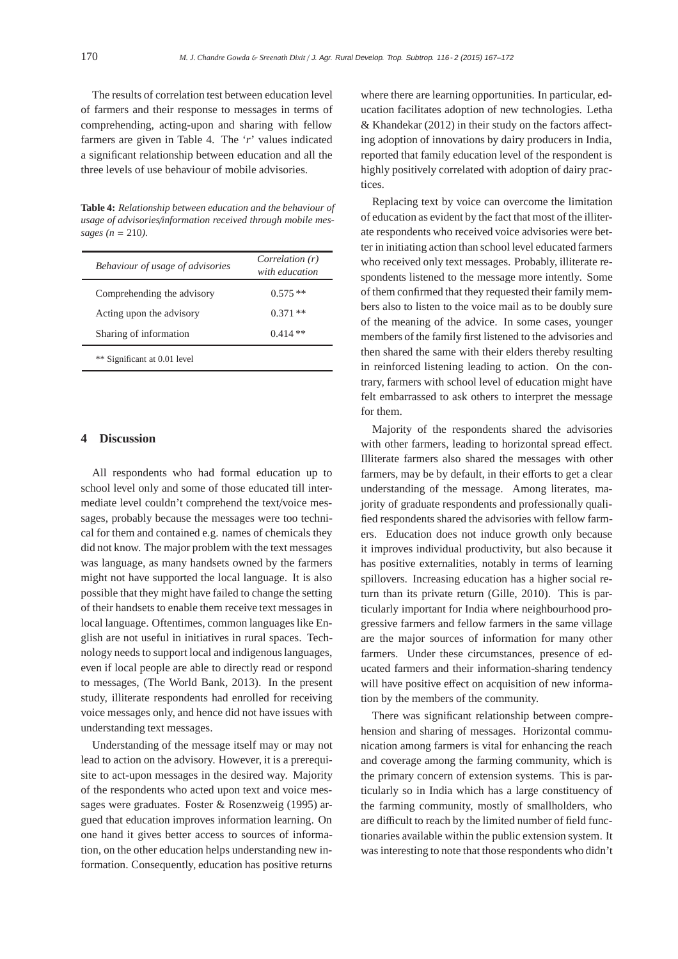The results of correlation test between education level of farmers and their response to messages in terms of comprehending, acting-upon and sharing with fellow farmers are given in Table 4. The '*r*' values indicated a significant relationship between education and all the three levels of use behaviour of mobile advisories.

**Table 4:** *Relationship between education and the behaviour of usage of advisories*/*information received through mobile messages (n* = 210*).*

| Behaviour of usage of advisories | Correlation (r)<br>with education |
|----------------------------------|-----------------------------------|
| Comprehending the advisory       | $0.575**$                         |
| Acting upon the advisory         | $0.371**$                         |
| Sharing of information           | $0.414**$                         |

### **4 Discussion**

All respondents who had formal education up to school level only and some of those educated till intermediate level couldn't comprehend the text/voice messages, probably because the messages were too technical for them and contained e.g. names of chemicals they did not know. The major problem with the text messages was language, as many handsets owned by the farmers might not have supported the local language. It is also possible that they might have failed to change the setting of their handsets to enable them receive text messages in local language. Oftentimes, common languages like English are not useful in initiatives in rural spaces. Technology needs to support local and indigenous languages, even if local people are able to directly read or respond to messages, (The World Bank, 2013). In the present study, illiterate respondents had enrolled for receiving voice messages only, and hence did not have issues with understanding text messages.

Understanding of the message itself may or may not lead to action on the advisory. However, it is a prerequisite to act-upon messages in the desired way. Majority of the respondents who acted upon text and voice messages were graduates. Foster & Rosenzweig (1995) argued that education improves information learning. On one hand it gives better access to sources of information, on the other education helps understanding new information. Consequently, education has positive returns

where there are learning opportunities. In particular, education facilitates adoption of new technologies. Letha & Khandekar (2012) in their study on the factors affecting adoption of innovations by dairy producers in India, reported that family education level of the respondent is highly positively correlated with adoption of dairy practices.

Replacing text by voice can overcome the limitation of education as evident by the fact that most of the illiterate respondents who received voice advisories were better in initiating action than school level educated farmers who received only text messages. Probably, illiterate respondents listened to the message more intently. Some of them confirmed that they requested their family members also to listen to the voice mail as to be doubly sure of the meaning of the advice. In some cases, younger members of the family first listened to the advisories and then shared the same with their elders thereby resulting in reinforced listening leading to action. On the contrary, farmers with school level of education might have felt embarrassed to ask others to interpret the message for them.

Majority of the respondents shared the advisories with other farmers, leading to horizontal spread effect. Illiterate farmers also shared the messages with other farmers, may be by default, in their efforts to get a clear understanding of the message. Among literates, majority of graduate respondents and professionally qualified respondents shared the advisories with fellow farmers. Education does not induce growth only because it improves individual productivity, but also because it has positive externalities, notably in terms of learning spillovers. Increasing education has a higher social return than its private return (Gille, 2010). This is particularly important for India where neighbourhood progressive farmers and fellow farmers in the same village are the major sources of information for many other farmers. Under these circumstances, presence of educated farmers and their information-sharing tendency will have positive effect on acquisition of new information by the members of the community.

There was significant relationship between comprehension and sharing of messages. Horizontal communication among farmers is vital for enhancing the reach and coverage among the farming community, which is the primary concern of extension systems. This is particularly so in India which has a large constituency of the farming community, mostly of smallholders, who are difficult to reach by the limited number of field functionaries available within the public extension system. It was interesting to note that those respondents who didn't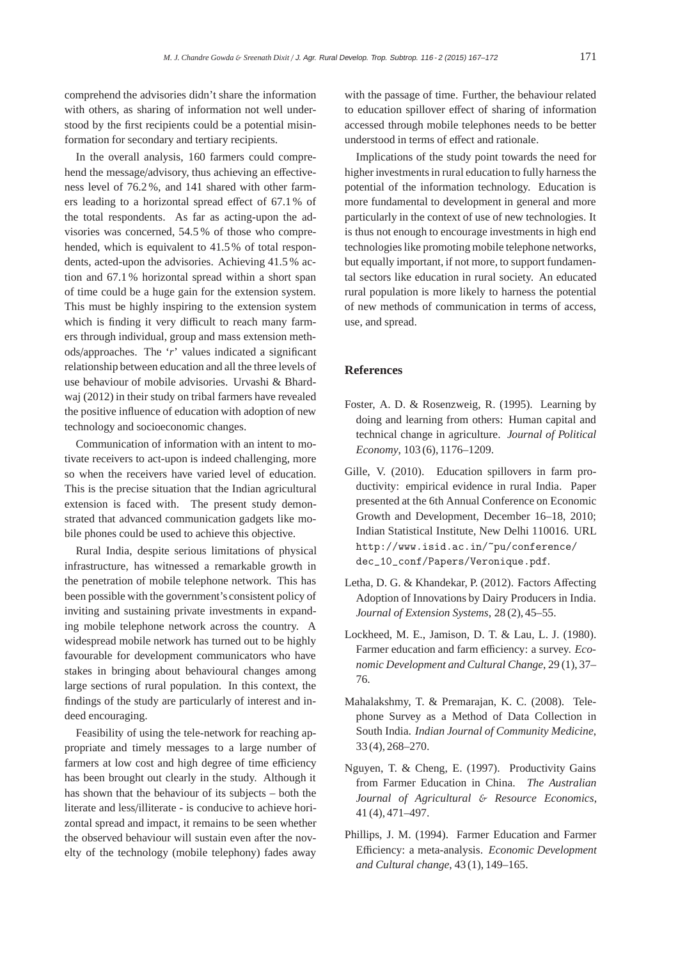comprehend the advisories didn't share the information with others, as sharing of information not well understood by the first recipients could be a potential misinformation for secondary and tertiary recipients.

In the overall analysis, 160 farmers could comprehend the message/advisory, thus achieving an effectiveness level of 76.2 %, and 141 shared with other farmers leading to a horizontal spread effect of 67.1 % of the total respondents. As far as acting-upon the advisories was concerned, 54.5 % of those who comprehended, which is equivalent to 41.5 % of total respondents, acted-upon the advisories. Achieving 41.5 % action and 67.1 % horizontal spread within a short span of time could be a huge gain for the extension system. This must be highly inspiring to the extension system which is finding it very difficult to reach many farmers through individual, group and mass extension methods/approaches. The '*r*' values indicated a significant relationship between education and all the three levels of use behaviour of mobile advisories. Urvashi & Bhardwaj (2012) in their study on tribal farmers have revealed the positive influence of education with adoption of new technology and socioeconomic changes.

Communication of information with an intent to motivate receivers to act-upon is indeed challenging, more so when the receivers have varied level of education. This is the precise situation that the Indian agricultural extension is faced with. The present study demonstrated that advanced communication gadgets like mobile phones could be used to achieve this objective.

Rural India, despite serious limitations of physical infrastructure, has witnessed a remarkable growth in the penetration of mobile telephone network. This has been possible with the government's consistent policy of inviting and sustaining private investments in expanding mobile telephone network across the country. A widespread mobile network has turned out to be highly favourable for development communicators who have stakes in bringing about behavioural changes among large sections of rural population. In this context, the findings of the study are particularly of interest and indeed encouraging.

Feasibility of using the tele-network for reaching appropriate and timely messages to a large number of farmers at low cost and high degree of time efficiency has been brought out clearly in the study. Although it has shown that the behaviour of its subjects – both the literate and less/illiterate - is conducive to achieve horizontal spread and impact, it remains to be seen whether the observed behaviour will sustain even after the novelty of the technology (mobile telephony) fades away

with the passage of time. Further, the behaviour related to education spillover effect of sharing of information accessed through mobile telephones needs to be better understood in terms of effect and rationale.

Implications of the study point towards the need for higher investments in rural education to fully harness the potential of the information technology. Education is more fundamental to development in general and more particularly in the context of use of new technologies. It is thus not enough to encourage investments in high end technologies like promoting mobile telephone networks, but equally important, if not more, to support fundamental sectors like education in rural society. An educated rural population is more likely to harness the potential of new methods of communication in terms of access, use, and spread.

#### **References**

- Foster, A. D. & Rosenzweig, R. (1995). Learning by doing and learning from others: Human capital and technical change in agriculture. *Journal of Political Economy*, 103 (6), 1176–1209.
- Gille, V. (2010). Education spillovers in farm productivity: empirical evidence in rural India. Paper presented at the 6th Annual Conference on Economic Growth and Development, December 16–18, 2010; Indian Statistical Institute, New Delhi 110016. URL http://www.isid.ac.in/~pu/conference/ dec\_10\_conf/Papers/Veronique.pdf.
- Letha, D. G. & Khandekar, P. (2012). Factors Affecting Adoption of Innovations by Dairy Producers in India. *Journal of Extension Systems*, 28 (2), 45–55.
- Lockheed, M. E., Jamison, D. T. & Lau, L. J. (1980). Farmer education and farm efficiency: a survey. *Economic Development and Cultural Change*, 29 (1), 37– 76.
- Mahalakshmy, T. & Premarajan, K. C. (2008). Telephone Survey as a Method of Data Collection in South India. *Indian Journal of Community Medicine*, 33 (4), 268–270.
- Nguyen, T. & Cheng, E. (1997). Productivity Gains from Farmer Education in China. *The Australian Journal of Agricultural* & *Resource Economics*, 41 (4), 471–497.
- Phillips, J. M. (1994). Farmer Education and Farmer Efficiency: a meta-analysis. *Economic Development and Cultural change*, 43 (1), 149–165.